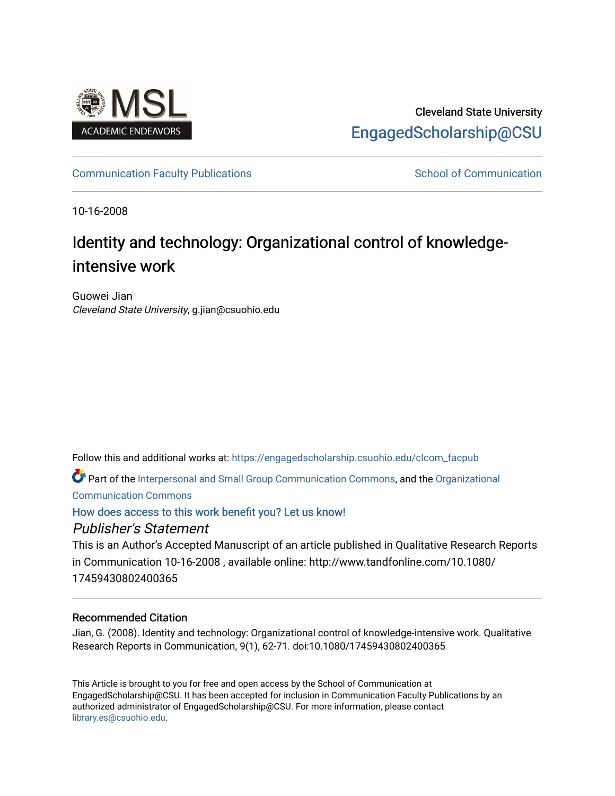

# Cleveland State University [EngagedScholarship@CSU](https://engagedscholarship.csuohio.edu/)

### [Communication Faculty Publications](https://engagedscholarship.csuohio.edu/clcom_facpub) [School of Communication](https://engagedscholarship.csuohio.edu/clcom) School of Communication

10-16-2008

# Identity and technology: Organizational control of knowledgeintensive work

Guowei Jian Cleveland State University, g.jian@csuohio.edu

Follow this and additional works at: [https://engagedscholarship.csuohio.edu/clcom\\_facpub](https://engagedscholarship.csuohio.edu/clcom_facpub?utm_source=engagedscholarship.csuohio.edu%2Fclcom_facpub%2F5&utm_medium=PDF&utm_campaign=PDFCoverPages) 

Part of the [Interpersonal and Small Group Communication Commons,](http://network.bepress.com/hgg/discipline/332?utm_source=engagedscholarship.csuohio.edu%2Fclcom_facpub%2F5&utm_medium=PDF&utm_campaign=PDFCoverPages) and the [Organizational](http://network.bepress.com/hgg/discipline/335?utm_source=engagedscholarship.csuohio.edu%2Fclcom_facpub%2F5&utm_medium=PDF&utm_campaign=PDFCoverPages) [Communication Commons](http://network.bepress.com/hgg/discipline/335?utm_source=engagedscholarship.csuohio.edu%2Fclcom_facpub%2F5&utm_medium=PDF&utm_campaign=PDFCoverPages)

[How does access to this work benefit you? Let us know!](http://library.csuohio.edu/engaged/)

## Publisher's Statement

This is an Author's Accepted Manuscript of an article published in Qualitative Research Reports in Communication 10-16-2008 , available online: http://www.tandfonline.com/10.1080/ 17459430802400365

### Recommended Citation

Jian, G. (2008). Identity and technology: Organizational control of knowledge-intensive work. Qualitative Research Reports in Communication, 9(1), 62-71. doi:10.1080/17459430802400365

This Article is brought to you for free and open access by the School of Communication at EngagedScholarship@CSU. It has been accepted for inclusion in Communication Faculty Publications by an authorized administrator of EngagedScholarship@CSU. For more information, please contact [library.es@csuohio.edu.](mailto:library.es@csuohio.edu)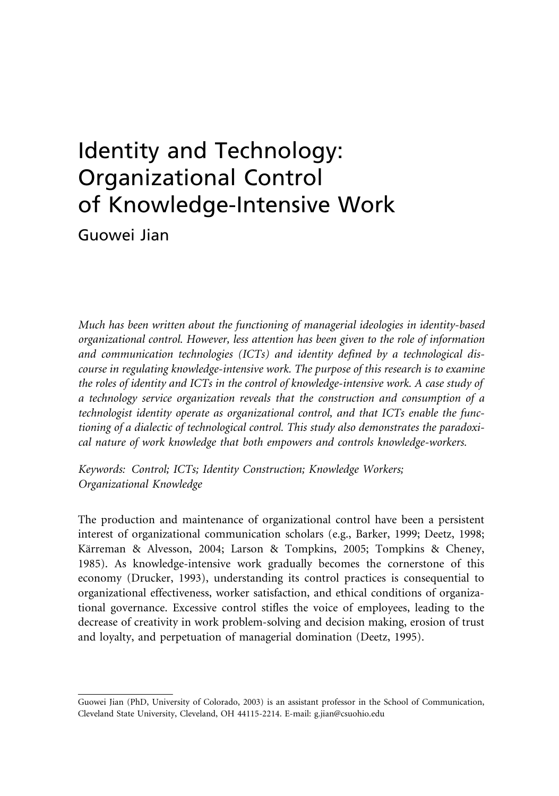# Identity and Technology: Organizational Control of Knowledge-Intensive Work

Guowei Jian

Much has been written about the functioning of managerial ideologies in identity-based organizational control. However, less attention has been given to the role of information and communication technologies (ICTs) and identity defined by a technological discourse in regulating knowledge-intensive work. The purpose of this research is to examine the roles of identity and ICTs in the control of knowledge-intensive work. A case study of a technology service organization reveals that the construction and consumption of a technologist identity operate as organizational control, and that ICTs enable the functioning of a dialectic of technological control. This study also demonstrates the paradoxical nature of work knowledge that both empowers and controls knowledge-workers.

Keywords: Control; ICTs; Identity Construction; Knowledge Workers; Organizational Knowledge

The production and maintenance of organizational control have been a persistent interest of organizational communication scholars (e.g., Barker, 1999; Deetz, 1998; Kärreman & Alvesson, 2004; Larson & Tompkins, 2005; Tompkins & Cheney, 1985). As knowledge-intensive work gradually becomes the cornerstone of this economy (Drucker, 1993), understanding its control practices is consequential to organizational effectiveness, worker satisfaction, and ethical conditions of organizational governance. Excessive control stifles the voice of employees, leading to the decrease of creativity in work problem-solving and decision making, erosion of trust and loyalty, and perpetuation of managerial domination (Deetz, 1995).

Guowei Jian (PhD, University of Colorado, 2003) is an assistant professor in the School of Communication, Cleveland State University, Cleveland, OH 44115-2214. E-mail: g.jian@csuohio.edu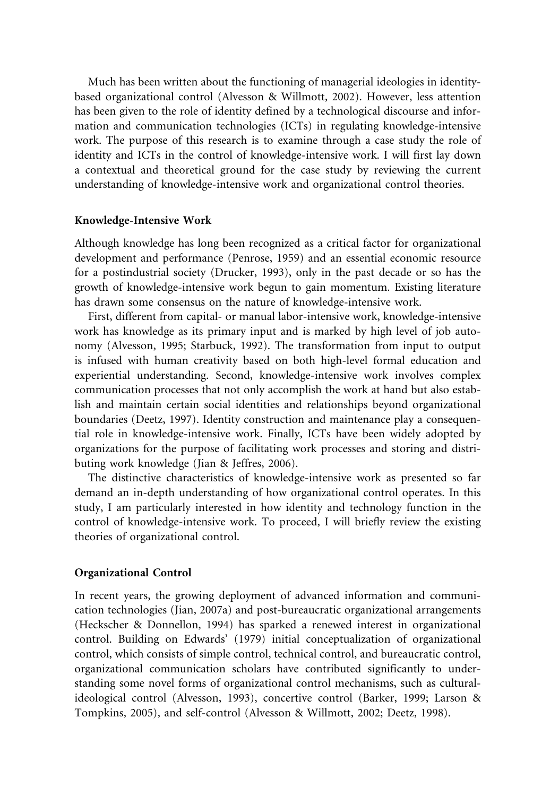Much has been written about the functioning of managerial ideologies in identitybased organizational control (Alvesson & Willmott, 2002). However, less attention has been given to the role of identity defined by a technological discourse and information and communication technologies (ICTs) in regulating knowledge-intensive work. The purpose of this research is to examine through a case study the role of identity and ICTs in the control of knowledge-intensive work. I will first lay down a contextual and theoretical ground for the case study by reviewing the current understanding of knowledge-intensive work and organizational control theories.

#### Knowledge-Intensive Work

Although knowledge has long been recognized as a critical factor for organizational development and performance (Penrose, 1959) and an essential economic resource for a postindustrial society (Drucker, 1993), only in the past decade or so has the growth of knowledge-intensive work begun to gain momentum. Existing literature has drawn some consensus on the nature of knowledge-intensive work.

First, different from capital- or manual labor-intensive work, knowledge-intensive work has knowledge as its primary input and is marked by high level of job autonomy (Alvesson, 1995; Starbuck, 1992). The transformation from input to output is infused with human creativity based on both high-level formal education and experiential understanding. Second, knowledge-intensive work involves complex communication processes that not only accomplish the work at hand but also establish and maintain certain social identities and relationships beyond organizational boundaries (Deetz, 1997). Identity construction and maintenance play a consequential role in knowledge-intensive work. Finally, ICTs have been widely adopted by organizations for the purpose of facilitating work processes and storing and distributing work knowledge (Jian & Jeffres, 2006).

The distinctive characteristics of knowledge-intensive work as presented so far demand an in-depth understanding of how organizational control operates. In this study, I am particularly interested in how identity and technology function in the control of knowledge-intensive work. To proceed, I will briefly review the existing theories of organizational control.

#### Organizational Control

In recent years, the growing deployment of advanced information and communication technologies (Jian, 2007a) and post-bureaucratic organizational arrangements (Heckscher & Donnellon, 1994) has sparked a renewed interest in organizational control. Building on Edwards' (1979) initial conceptualization of organizational control, which consists of simple control, technical control, and bureaucratic control, organizational communication scholars have contributed significantly to understanding some novel forms of organizational control mechanisms, such as culturalideological control (Alvesson, 1993), concertive control (Barker, 1999; Larson & Tompkins, 2005), and self-control (Alvesson & Willmott, 2002; Deetz, 1998).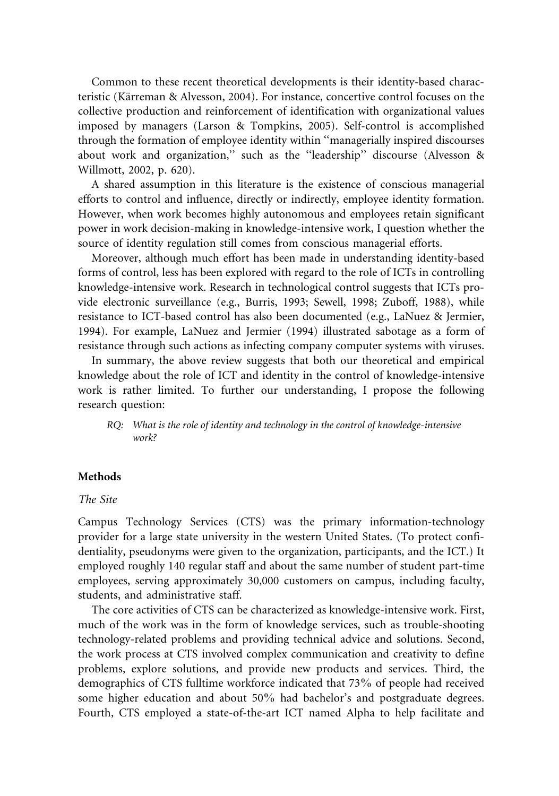Common to these recent theoretical developments is their identity-based characteristic (Kärreman & Alvesson, 2004). For instance, concertive control focuses on the collective production and reinforcement of identification with organizational values imposed by managers (Larson & Tompkins, 2005). Self-control is accomplished through the formation of employee identity within ''managerially inspired discourses about work and organization,'' such as the ''leadership'' discourse (Alvesson & Willmott, 2002, p. 620).

A shared assumption in this literature is the existence of conscious managerial efforts to control and influence, directly or indirectly, employee identity formation. However, when work becomes highly autonomous and employees retain significant power in work decision-making in knowledge-intensive work, I question whether the source of identity regulation still comes from conscious managerial efforts.

Moreover, although much effort has been made in understanding identity-based forms of control, less has been explored with regard to the role of ICTs in controlling knowledge-intensive work. Research in technological control suggests that ICTs provide electronic surveillance (e.g., Burris, 1993; Sewell, 1998; Zuboff, 1988), while resistance to ICT-based control has also been documented (e.g., LaNuez & Jermier, 1994). For example, LaNuez and Jermier (1994) illustrated sabotage as a form of resistance through such actions as infecting company computer systems with viruses.

In summary, the above review suggests that both our theoretical and empirical knowledge about the role of ICT and identity in the control of knowledge-intensive work is rather limited. To further our understanding, I propose the following research question:

RQ: What is the role of identity and technology in the control of knowledge-intensive work?

#### Methods

#### The Site

Campus Technology Services (CTS) was the primary information-technology provider for a large state university in the western United States. (To protect confidentiality, pseudonyms were given to the organization, participants, and the ICT.) It employed roughly 140 regular staff and about the same number of student part-time employees, serving approximately 30,000 customers on campus, including faculty, students, and administrative staff.

The core activities of CTS can be characterized as knowledge-intensive work. First, much of the work was in the form of knowledge services, such as trouble-shooting technology-related problems and providing technical advice and solutions. Second, the work process at CTS involved complex communication and creativity to define problems, explore solutions, and provide new products and services. Third, the demographics of CTS fulltime workforce indicated that 73% of people had received some higher education and about 50% had bachelor's and postgraduate degrees. Fourth, CTS employed a state-of-the-art ICT named Alpha to help facilitate and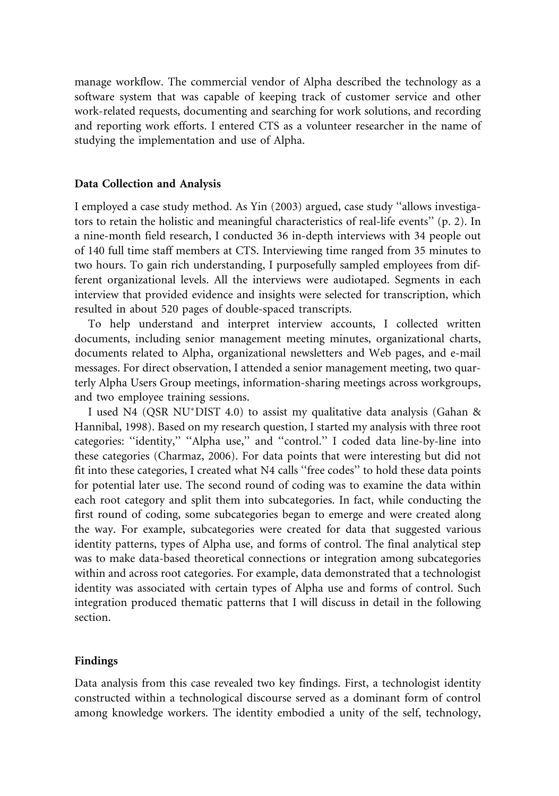manage workflow. The commercial vendor of Alpha described the technology as a software system that was capable of keeping track of customer service and other work-related requests, documenting and searching for work solutions, and recording and reporting work efforts. I entered CTS as a volunteer researcher in the name of studying the implementation and use of Alpha.

#### Data Collection and Analysis

I employed a case study method. As Yin (2003) argued, case study ''allows investigators to retain the holistic and meaningful characteristics of real-life events'' (p. 2). In a nine-month field research, I conducted 36 in-depth interviews with 34 people out of 140 full time staff members at CTS. Interviewing time ranged from 35 minutes to two hours. To gain rich understanding, I purposefully sampled employees from different organizational levels. All the interviews were audiotaped. Segments in each interview that provided evidence and insights were selected for transcription, which resulted in about 520 pages of double-spaced transcripts.

To help understand and interpret interview accounts, I collected written documents, including senior management meeting minutes, organizational charts, documents related to Alpha, organizational newsletters and Web pages, and e-mail messages. For direct observation, I attended a senior management meeting, two quarterly Alpha Users Group meetings, information-sharing meetings across workgroups, and two employee training sessions.

I used N4 (QSR NU\*DIST 4.0) to assist my qualitative data analysis (Gahan & Hannibal, 1998). Based on my research question, I started my analysis with three root categories: "identity," "Alpha use," and "control." I coded data line-by-line into these categories (Charmaz, 2006). For data points that were interesting but did not fit into these categories, I created what N4 calls ''free codes'' to hold these data points for potential later use. The second round of coding was to examine the data within each root category and split them into subcategories. In fact, while conducting the first round of coding, some subcategories began to emerge and were created along the way. For example, subcategories were created for data that suggested various identity patterns, types of Alpha use, and forms of control. The final analytical step was to make data-based theoretical connections or integration among subcategories within and across root categories. For example, data demonstrated that a technologist identity was associated with certain types of Alpha use and forms of control. Such integration produced thematic patterns that I will discuss in detail in the following section.

#### Findings

Data analysis from this case revealed two key findings. First, a technologist identity constructed within a technological discourse served as a dominant form of control among knowledge workers. The identity embodied a unity of the self, technology,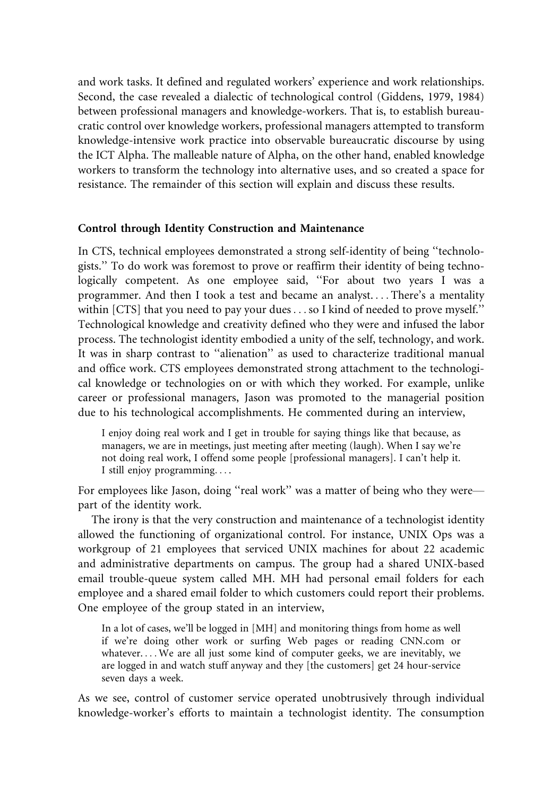and work tasks. It defined and regulated workers' experience and work relationships. Second, the case revealed a dialectic of technological control (Giddens, 1979, 1984) between professional managers and knowledge-workers. That is, to establish bureaucratic control over knowledge workers, professional managers attempted to transform knowledge-intensive work practice into observable bureaucratic discourse by using the ICT Alpha. The malleable nature of Alpha, on the other hand, enabled knowledge workers to transform the technology into alternative uses, and so created a space for resistance. The remainder of this section will explain and discuss these results.

#### Control through Identity Construction and Maintenance

In CTS, technical employees demonstrated a strong self-identity of being ''technologists.'' To do work was foremost to prove or reaffirm their identity of being technologically competent. As one employee said, ''For about two years I was a programmer. And then I took a test and became an analyst. ... There's a mentality within [CTS] that you need to pay your dues...so I kind of needed to prove myself.'' Technological knowledge and creativity defined who they were and infused the labor process. The technologist identity embodied a unity of the self, technology, and work. It was in sharp contrast to ''alienation'' as used to characterize traditional manual and office work. CTS employees demonstrated strong attachment to the technological knowledge or technologies on or with which they worked. For example, unlike career or professional managers, Jason was promoted to the managerial position due to his technological accomplishments. He commented during an interview,

I enjoy doing real work and I get in trouble for saying things like that because, as managers, we are in meetings, just meeting after meeting (laugh). When I say we're not doing real work, I offend some people [professional managers]. I can't help it. I still enjoy programming... .

For employees like Jason, doing "real work" was a matter of being who they were part of the identity work.

The irony is that the very construction and maintenance of a technologist identity allowed the functioning of organizational control. For instance, UNIX Ops was a workgroup of 21 employees that serviced UNIX machines for about 22 academic and administrative departments on campus. The group had a shared UNIX-based email trouble-queue system called MH. MH had personal email folders for each employee and a shared email folder to which customers could report their problems. One employee of the group stated in an interview,

In a lot of cases, we'll be logged in [MH] and monitoring things from home as well if we're doing other work or surfing Web pages or reading CNN.com or whatever. ... We are all just some kind of computer geeks, we are inevitably, we are logged in and watch stuff anyway and they [the customers] get 24 hour-service seven days a week.

As we see, control of customer service operated unobtrusively through individual knowledge-worker's efforts to maintain a technologist identity. The consumption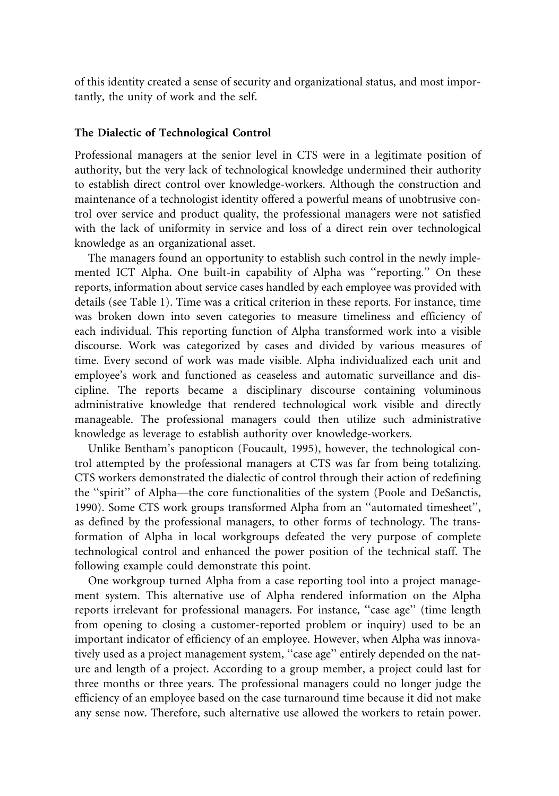of this identity created a sense of security and organizational status, and most importantly, the unity of work and the self.

#### The Dialectic of Technological Control

Professional managers at the senior level in CTS were in a legitimate position of authority, but the very lack of technological knowledge undermined their authority to establish direct control over knowledge-workers. Although the construction and maintenance of a technologist identity offered a powerful means of unobtrusive control over service and product quality, the professional managers were not satisfied with the lack of uniformity in service and loss of a direct rein over technological knowledge as an organizational asset.

The managers found an opportunity to establish such control in the newly implemented ICT Alpha. One built-in capability of Alpha was ''reporting.'' On these reports, information about service cases handled by each employee was provided with details (see Table 1). Time was a critical criterion in these reports. For instance, time was broken down into seven categories to measure timeliness and efficiency of each individual. This reporting function of Alpha transformed work into a visible discourse. Work was categorized by cases and divided by various measures of time. Every second of work was made visible. Alpha individualized each unit and employee's work and functioned as ceaseless and automatic surveillance and discipline. The reports became a disciplinary discourse containing voluminous administrative knowledge that rendered technological work visible and directly manageable. The professional managers could then utilize such administrative knowledge as leverage to establish authority over knowledge-workers.

Unlike Bentham's panopticon (Foucault, 1995), however, the technological control attempted by the professional managers at CTS was far from being totalizing. CTS workers demonstrated the dialectic of control through their action of redefining the ''spirit'' of Alpha—the core functionalities of the system (Poole and DeSanctis, 1990). Some CTS work groups transformed Alpha from an ''automated timesheet'', as defined by the professional managers, to other forms of technology. The transformation of Alpha in local workgroups defeated the very purpose of complete technological control and enhanced the power position of the technical staff. The following example could demonstrate this point.

One workgroup turned Alpha from a case reporting tool into a project management system. This alternative use of Alpha rendered information on the Alpha reports irrelevant for professional managers. For instance, "case age" (time length from opening to closing a customer-reported problem or inquiry) used to be an important indicator of efficiency of an employee. However, when Alpha was innovatively used as a project management system, ''case age'' entirely depended on the nature and length of a project. According to a group member, a project could last for three months or three years. The professional managers could no longer judge the efficiency of an employee based on the case turnaround time because it did not make any sense now. Therefore, such alternative use allowed the workers to retain power.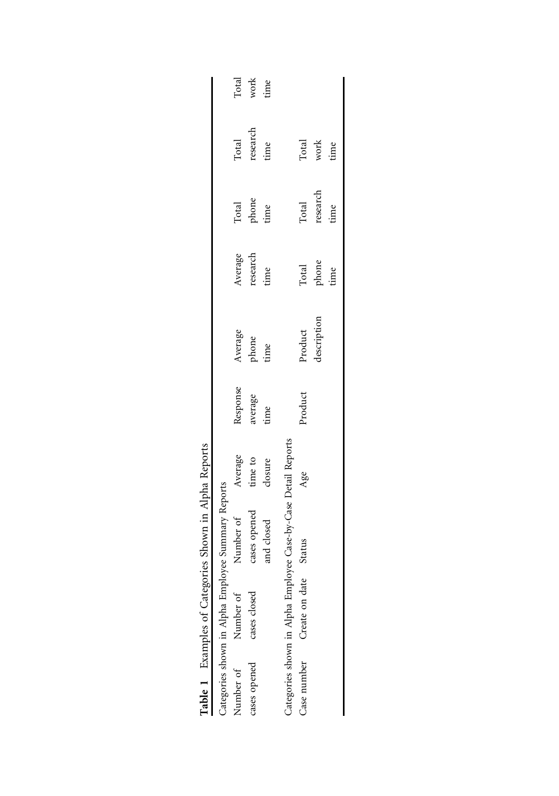|                | Average                              | Response                                                                             |             |                          |                                                                 |                        |                                    |
|----------------|--------------------------------------|--------------------------------------------------------------------------------------|-------------|--------------------------|-----------------------------------------------------------------|------------------------|------------------------------------|
| cases closed   |                                      |                                                                                      |             |                          |                                                                 |                        | $_{\rm{work}}^{\rm{Total}}$        |
|                |                                      | time                                                                                 |             |                          |                                                                 |                        |                                    |
|                |                                      |                                                                                      |             |                          |                                                                 |                        |                                    |
| Create on date | Age                                  | Product                                                                              | Product     |                          | <b>Total</b>                                                    |                        |                                    |
|                |                                      |                                                                                      | description |                          | research                                                        | work                   |                                    |
|                |                                      |                                                                                      |             |                          | time                                                            | time                   |                                    |
|                |                                      |                                                                                      |             |                          |                                                                 |                        |                                    |
|                | cases opened<br>and closed<br>Status | Categories shown in Alpha Employee Case-by-Case Detail Reports<br>time to<br>closure | average     | Average<br>phone<br>time | Average<br>research<br>Total<br>phone<br>time<br>$\mathbf{m}$ e | Total<br>phone<br>time | Total<br>research<br>time<br>Total |

| ם היה הייד ה        |
|---------------------|
|                     |
| mh 11<br>A In A A   |
|                     |
| Categories Shown in |
|                     |
|                     |
|                     |
|                     |
| annin<br>Ц          |
| ₫                   |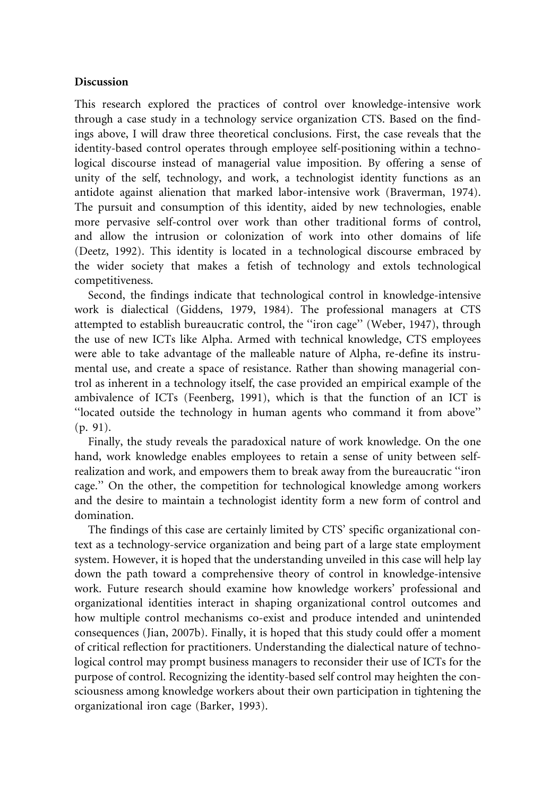#### Discussion

This research explored the practices of control over knowledge-intensive work through a case study in a technology service organization CTS. Based on the findings above, I will draw three theoretical conclusions. First, the case reveals that the identity-based control operates through employee self-positioning within a technological discourse instead of managerial value imposition. By offering a sense of unity of the self, technology, and work, a technologist identity functions as an antidote against alienation that marked labor-intensive work (Braverman, 1974). The pursuit and consumption of this identity, aided by new technologies, enable more pervasive self-control over work than other traditional forms of control, and allow the intrusion or colonization of work into other domains of life (Deetz, 1992). This identity is located in a technological discourse embraced by the wider society that makes a fetish of technology and extols technological competitiveness.

Second, the findings indicate that technological control in knowledge-intensive work is dialectical (Giddens, 1979, 1984). The professional managers at CTS attempted to establish bureaucratic control, the ''iron cage'' (Weber, 1947), through the use of new ICTs like Alpha. Armed with technical knowledge, CTS employees were able to take advantage of the malleable nature of Alpha, re-define its instrumental use, and create a space of resistance. Rather than showing managerial control as inherent in a technology itself, the case provided an empirical example of the ambivalence of ICTs (Feenberg, 1991), which is that the function of an ICT is ''located outside the technology in human agents who command it from above'' (p. 91).

Finally, the study reveals the paradoxical nature of work knowledge. On the one hand, work knowledge enables employees to retain a sense of unity between selfrealization and work, and empowers them to break away from the bureaucratic ''iron cage.'' On the other, the competition for technological knowledge among workers and the desire to maintain a technologist identity form a new form of control and domination.

The findings of this case are certainly limited by CTS' specific organizational context as a technology-service organization and being part of a large state employment system. However, it is hoped that the understanding unveiled in this case will help lay down the path toward a comprehensive theory of control in knowledge-intensive work. Future research should examine how knowledge workers' professional and organizational identities interact in shaping organizational control outcomes and how multiple control mechanisms co-exist and produce intended and unintended consequences (Jian, 2007b). Finally, it is hoped that this study could offer a moment of critical reflection for practitioners. Understanding the dialectical nature of technological control may prompt business managers to reconsider their use of ICTs for the purpose of control. Recognizing the identity-based self control may heighten the consciousness among knowledge workers about their own participation in tightening the organizational iron cage (Barker, 1993).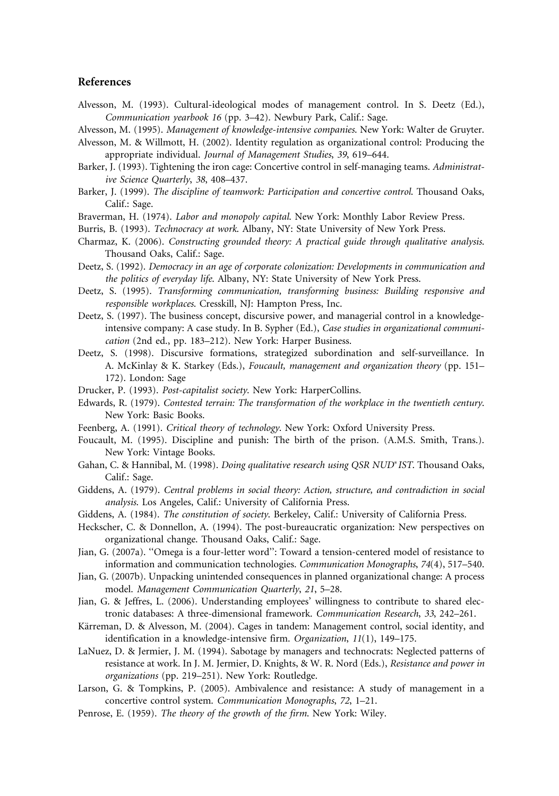#### References

Alvesson, M. (1993). Cultural-ideological modes of management control. In S. Deetz (Ed.), Communication yearbook 16 (pp. 3–42). Newbury Park, Calif.: Sage.

Alvesson, M. (1995). Management of knowledge-intensive companies. New York: Walter de Gruyter.

Alvesson, M. & Willmott, H. (2002). Identity regulation as organizational control: Producing the appropriate individual. Journal of Management Studies, 39, 619–644.

- Barker, J. (1993). Tightening the iron cage: Concertive control in self-managing teams. Administrative Science Quarterly, 38, 408–437.
- Barker, J. (1999). The discipline of teamwork: Participation and concertive control. Thousand Oaks, Calif.: Sage.
- Braverman, H. (1974). Labor and monopoly capital. New York: Monthly Labor Review Press.
- Burris, B. (1993). Technocracy at work. Albany, NY: State University of New York Press.
- Charmaz, K. (2006). Constructing grounded theory: A practical guide through qualitative analysis. Thousand Oaks, Calif.: Sage.
- Deetz, S. (1992). Democracy in an age of corporate colonization: Developments in communication and the politics of everyday life. Albany, NY: State University of New York Press.
- Deetz, S. (1995). Transforming communication, transforming business: Building responsive and responsible workplaces. Cresskill, NJ: Hampton Press, Inc.
- Deetz, S. (1997). The business concept, discursive power, and managerial control in a knowledgeintensive company: A case study. In B. Sypher (Ed.), Case studies in organizational communication (2nd ed., pp. 183–212). New York: Harper Business.
- Deetz, S. (1998). Discursive formations, strategized subordination and self-surveillance. In A. McKinlay & K. Starkey (Eds.), Foucault, management and organization theory (pp. 151– 172). London: Sage
- Drucker, P. (1993). Post-capitalist society. New York: HarperCollins.
- Edwards, R. (1979). Contested terrain: The transformation of the workplace in the twentieth century. New York: Basic Books.
- Feenberg, A. (1991). Critical theory of technology. New York: Oxford University Press.
- Foucault, M. (1995). Discipline and punish: The birth of the prison. (A.M.S. Smith, Trans.). New York: Vintage Books.
- Gahan, C. & Hannibal, M. (1998). Doing qualitative research using QSR NUD\* IST. Thousand Oaks, Calif.: Sage.
- Giddens, A. (1979). Central problems in social theory: Action, structure, and contradiction in social analysis. Los Angeles, Calif.: University of California Press.
- Giddens, A. (1984). The constitution of society. Berkeley, Calif.: University of California Press.
- Heckscher, C. & Donnellon, A. (1994). The post-bureaucratic organization: New perspectives on organizational change. Thousand Oaks, Calif.: Sage.

Jian, G. (2007a). ''Omega is a four-letter word'': Toward a tension-centered model of resistance to information and communication technologies. Communication Monographs, 74(4), 517–540.

- Jian, G. (2007b). Unpacking unintended consequences in planned organizational change: A process model. Management Communication Quarterly, 21, 5–28.
- Jian, G. & Jeffres, L. (2006). Understanding employees' willingness to contribute to shared electronic databases: A three-dimensional framework. Communication Research, 33, 242–261.
- Kärreman, D. & Alvesson, M. (2004). Cages in tandem: Management control, social identity, and identification in a knowledge-intensive firm. Organization, 11(1), 149–175.
- LaNuez, D. & Jermier, J. M. (1994). Sabotage by managers and technocrats: Neglected patterns of resistance at work. In J. M. Jermier, D. Knights, & W. R. Nord (Eds.), Resistance and power in organizations (pp. 219–251). New York: Routledge.
- Larson, G. & Tompkins, P. (2005). Ambivalence and resistance: A study of management in a concertive control system. Communication Monographs, 72, 1–21.
- Penrose, E. (1959). The theory of the growth of the firm. New York: Wiley.